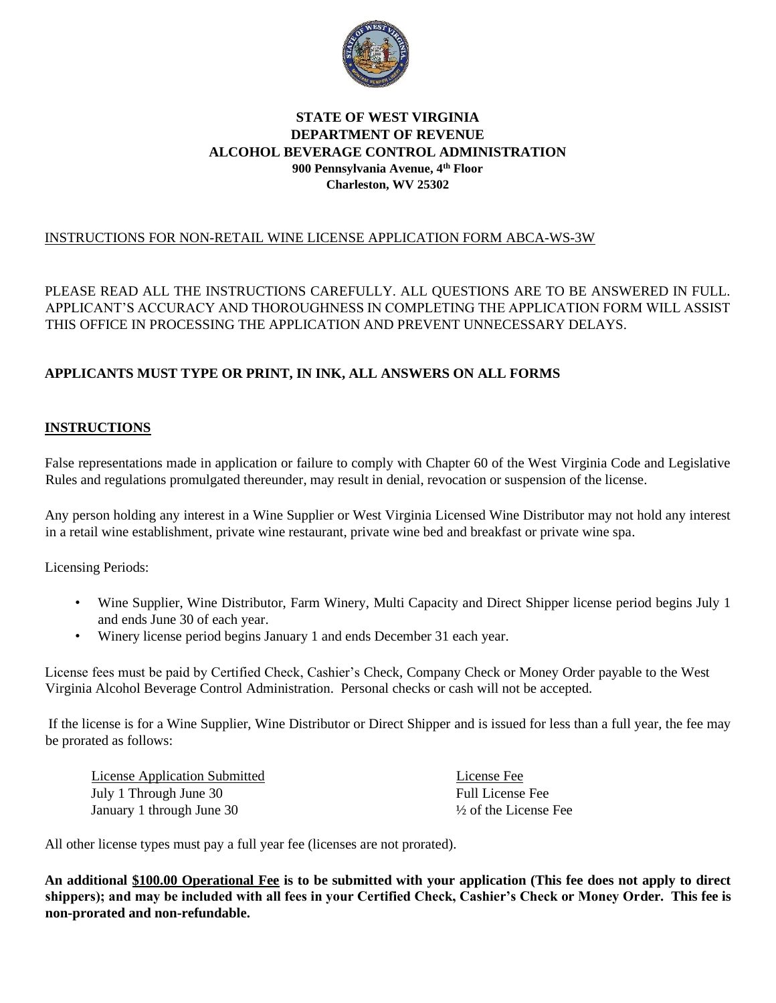

### **STATE OF WEST VIRGINIA DEPARTMENT OF REVENUE ALCOHOL BEVERAGE CONTROL ADMINISTRATION 900 Pennsylvania Avenue, 4th Floor Charleston, WV 25302**

### INSTRUCTIONS FOR NON-RETAIL WINE LICENSE APPLICATION FORM ABCA-WS-3W

PLEASE READ ALL THE INSTRUCTIONS CAREFULLY. ALL QUESTIONS ARE TO BE ANSWERED IN FULL. APPLICANT'S ACCURACY AND THOROUGHNESS IN COMPLETING THE APPLICATION FORM WILL ASSIST THIS OFFICE IN PROCESSING THE APPLICATION AND PREVENT UNNECESSARY DELAYS.

### **APPLICANTS MUST TYPE OR PRINT, IN INK, ALL ANSWERS ON ALL FORMS**

### **INSTRUCTIONS**

False representations made in application or failure to comply with Chapter 60 of the West Virginia Code and Legislative Rules and regulations promulgated thereunder, may result in denial, revocation or suspension of the license.

Any person holding any interest in a Wine Supplier or West Virginia Licensed Wine Distributor may not hold any interest in a retail wine establishment, private wine restaurant, private wine bed and breakfast or private wine spa.

Licensing Periods:

- Wine Supplier, Wine Distributor, Farm Winery, Multi Capacity and Direct Shipper license period begins July 1 and ends June 30 of each year.
- Winery license period begins January 1 and ends December 31 each year.

License fees must be paid by Certified Check, Cashier's Check, Company Check or Money Order payable to the West Virginia Alcohol Beverage Control Administration. Personal checks or cash will not be accepted.

If the license is for a Wine Supplier, Wine Distributor or Direct Shipper and is issued for less than a full year, the fee may be prorated as follows:

| <b>License Application Submitted</b> | License Fee                      |
|--------------------------------------|----------------------------------|
| July 1 Through June 30               | <b>Full License Fee</b>          |
| January 1 through June 30            | $\frac{1}{2}$ of the License Fee |

All other license types must pay a full year fee (licenses are not prorated).

**An additional \$100.00 Operational Fee is to be submitted with your application (This fee does not apply to direct shippers); and may be included with all fees in your Certified Check, Cashier's Check or Money Order. This fee is non-prorated and non-refundable.**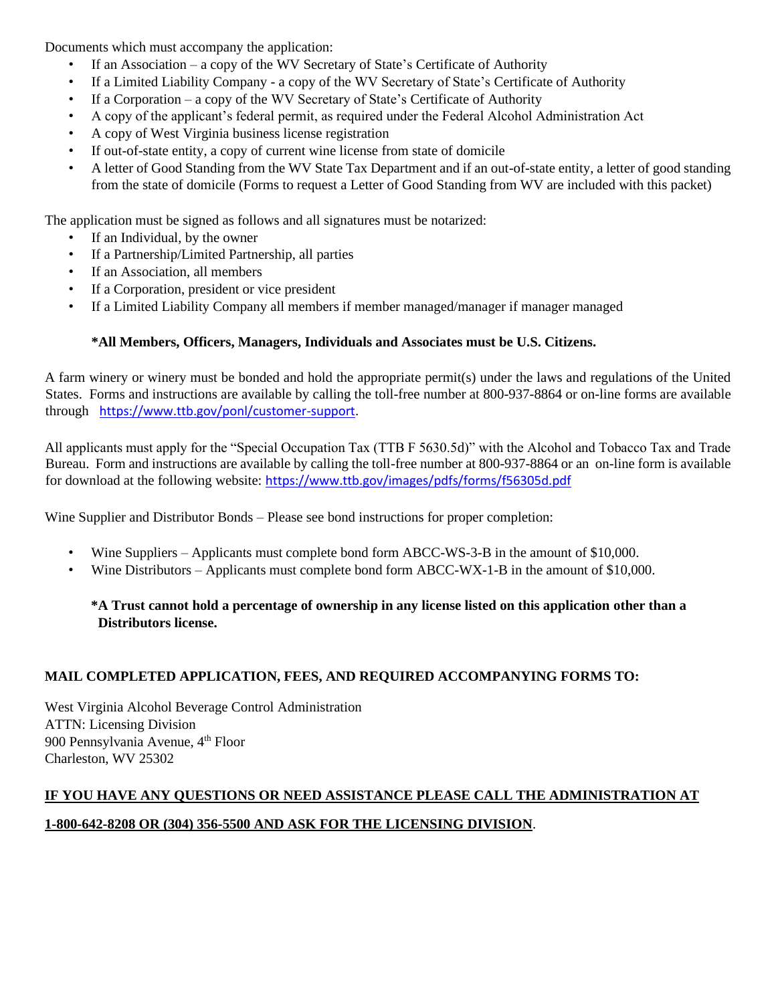Documents which must accompany the application:

- If an Association a copy of the WV Secretary of State's Certificate of Authority
- If a Limited Liability Company a copy of the WV Secretary of State's Certificate of Authority
- If a Corporation a copy of the WV Secretary of State's Certificate of Authority
- A copy of the applicant's federal permit, as required under the Federal Alcohol Administration Act
- A copy of West Virginia business license registration
- If out-of-state entity, a copy of current wine license from state of domicile
- A letter of Good Standing from the WV State Tax Department and if an out-of-state entity, a letter of good standing from the state of domicile (Forms to request a Letter of Good Standing from WV are included with this packet)

The application must be signed as follows and all signatures must be notarized:

- If an Individual, by the owner
- If a Partnership/Limited Partnership, all parties
- If an Association, all members
- If a Corporation, president or vice president
- If a Limited Liability Company all members if member managed/manager if manager managed

### **\*All Members, Officers, Managers, Individuals and Associates must be U.S. Citizens.**

A farm winery or winery must be bonded and hold the appropriate permit(s) under the laws and regulations of the United States. Forms and instructions are available by calling the toll-free number at 800-937-8864 or on-line forms are available through[https://www.ttb.gov/ponl/customer-support.](https://www.ttb.gov/ponl/customer-support)

All applicants must apply for the "Special Occupation Tax (TTB F 5630.5d)" with the Alcohol and Tobacco Tax and Trade Bureau. Form and instructions are available by calling the toll-free number at 800-937-8864 or an on-line form is available for download at the following website: <https://www.ttb.gov/images/pdfs/forms/f56305d.pdf>

Wine Supplier and Distributor Bonds – Please see bond instructions for proper completion:

- Wine Suppliers Applicants must complete bond form ABCC-WS-3-B in the amount of \$10,000.
- Wine Distributors Applicants must complete bond form ABCC-WX-1-B in the amount of \$10,000.

### **\*A Trust cannot hold a percentage of ownership in any license listed on this application other than a Distributors license.**

### **MAIL COMPLETED APPLICATION, FEES, AND REQUIRED ACCOMPANYING FORMS TO:**

West Virginia Alcohol Beverage Control Administration ATTN: Licensing Division 900 Pennsylvania Avenue, 4<sup>th</sup> Floor Charleston, WV 25302

# **IF YOU HAVE ANY QUESTIONS OR NEED ASSISTANCE PLEASE CALL THE ADMINISTRATION AT 1-800-642-8208 OR (304) 356-5500 AND ASK FOR THE LICENSING DIVISION**.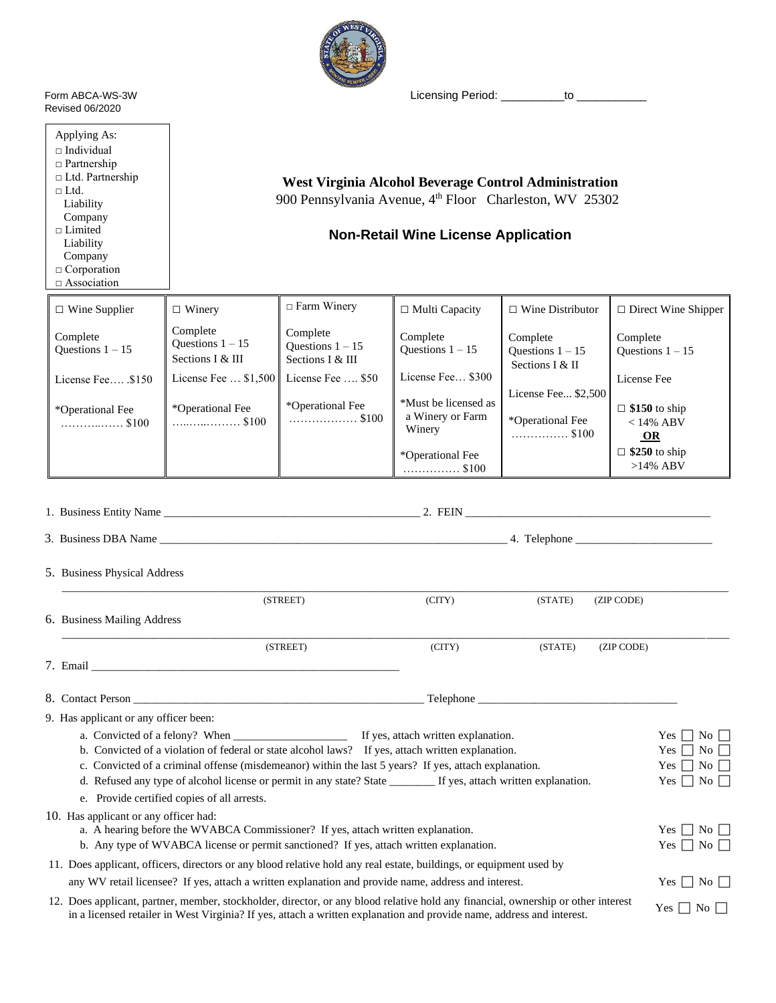

Revised 06/2020

Applying As:  $\square$  Individual □ Partnership □ Ltd. Partnership

 $\Box$  <br> Ltd. Liability Company □ Limited Liability Company □ Corporation □ Association

Form ABCA-WS-3W Licensing Period: \_\_\_\_\_\_\_\_\_\_to \_\_\_\_\_\_

**West Virginia Alcohol Beverage Control Administration** 900 Pennsylvania Avenue, 4<sup>th</sup> Floor Charleston, WV 25302

# **Non-Retail Wine License Application**

| $\Box$ Wine Supplier           | $\Box$ Winery                                      | $\Box$ Farm Winery                                 | $\Box$ Multi Capacity                              | $\Box$ Wine Distributor                           | $\Box$ Direct Wine Shipper                 |
|--------------------------------|----------------------------------------------------|----------------------------------------------------|----------------------------------------------------|---------------------------------------------------|--------------------------------------------|
| Complete<br>Questions $1 - 15$ | Complete<br>Questions $1 - 15$<br>Sections I & III | Complete<br>Ouestions $1 - 15$<br>Sections I & III | Complete<br>Ouestions $1 - 15$                     | Complete<br>Ouestions $1 - 15$<br>Sections I & II | Complete<br>Ouestions $1 - 15$             |
| License Fee $$150$             | License Fee $\dots$ \$1,500                        | License Fee  \$50                                  | License Fee \$300                                  |                                                   | License Fee                                |
| *Operational Fee               | *Operational Fee<br>. \$100                        | *Operational Fee<br>\$100                          | *Must be licensed as<br>a Winery or Farm<br>Winery | License Fee \$2,500<br>*Operational Fee<br>\$100  | $\Box$ \$150 to ship<br>$< 14\%$ ABV<br>OR |
|                                |                                                    |                                                    | *Operational Fee<br>\$100                          |                                                   | $\Box$ \$250 to ship<br>$>14\%$ ABV        |

|  | 5. Business Physical Address                                                                                                                                                                                                                               |        |         |            |                      |                    |  |
|--|------------------------------------------------------------------------------------------------------------------------------------------------------------------------------------------------------------------------------------------------------------|--------|---------|------------|----------------------|--------------------|--|
|  | (STREET)                                                                                                                                                                                                                                                   | (CITY) | (STATE) | (ZIP CODE) |                      |                    |  |
|  | 6. Business Mailing Address                                                                                                                                                                                                                                |        |         |            |                      |                    |  |
|  | (STREET)                                                                                                                                                                                                                                                   | (CITY) | (STATE) | (ZIP CODE) |                      |                    |  |
|  |                                                                                                                                                                                                                                                            |        |         |            |                      |                    |  |
|  |                                                                                                                                                                                                                                                            |        |         |            |                      |                    |  |
|  | 9. Has applicant or any officer been:                                                                                                                                                                                                                      |        |         |            |                      |                    |  |
|  |                                                                                                                                                                                                                                                            |        |         |            | Yes                  | $\overline{N_0}$   |  |
|  | b. Convicted of a violation of federal or state alcohol laws? If yes, attach written explanation.                                                                                                                                                          |        |         |            | Yes                  | $\overline{N_0}$   |  |
|  | c. Convicted of a criminal offense (misdemeanor) within the last 5 years? If yes, attach explanation.                                                                                                                                                      |        |         |            | Yes                  | $\overline{N_0}$   |  |
|  | d. Refused any type of alcohol license or permit in any state? State _______ If yes, attach written explanation.                                                                                                                                           |        |         |            | <b>Yes</b>           | $\overline{N_0}$   |  |
|  | e. Provide certified copies of all arrests.                                                                                                                                                                                                                |        |         |            |                      |                    |  |
|  | 10. Has applicant or any officer had:                                                                                                                                                                                                                      |        |         |            |                      |                    |  |
|  | a. A hearing before the WVABCA Commissioner? If yes, attach written explanation.                                                                                                                                                                           |        |         |            | Yes                  | $\overline{N_{0}}$ |  |
|  | b. Any type of WVABCA license or permit sanctioned? If yes, attach written explanation.                                                                                                                                                                    |        |         |            | Yes                  | $\Box$ No $\Box$   |  |
|  | 11. Does applicant, officers, directors or any blood relative hold any real estate, buildings, or equipment used by                                                                                                                                        |        |         |            |                      |                    |  |
|  | any WV retail licensee? If yes, attach a written explanation and provide name, address and interest.                                                                                                                                                       |        |         |            | Yes                  | $ N_0 $            |  |
|  | 12. Does applicant, partner, member, stockholder, director, or any blood relative hold any financial, ownership or other interest<br>in a licensed retailer in West Virginia? If yes, attach a written explanation and provide name, address and interest. |        |         |            | $Yes \perp No \perp$ |                    |  |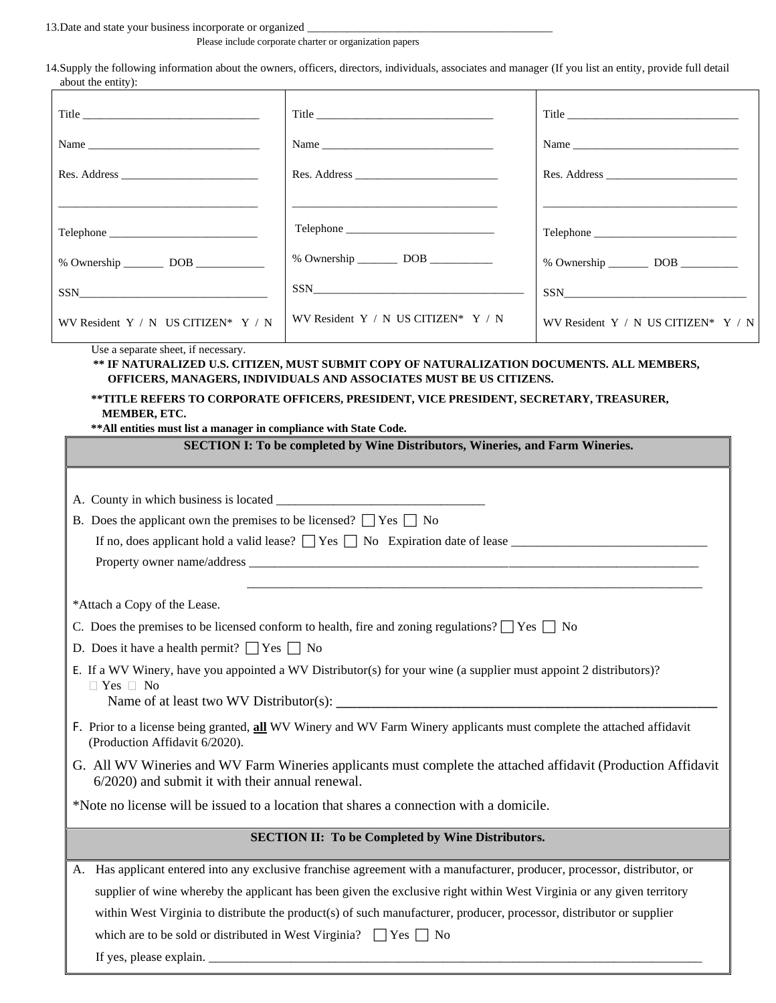13.Date and state your business incorporate or organized

Please include corporate charter or organization papers

14.Supply the following information about the owners, officers, directors, individuals, associates and manager (If you list an entity, provide full detail about the entity):

| avvai ule elitty <i>y</i> .                                                 |                                                                                                                                                                                                                                                             |                                         |
|-----------------------------------------------------------------------------|-------------------------------------------------------------------------------------------------------------------------------------------------------------------------------------------------------------------------------------------------------------|-----------------------------------------|
| $\text{Title}$                                                              | Title                                                                                                                                                                                                                                                       |                                         |
| Name                                                                        | Name                                                                                                                                                                                                                                                        |                                         |
|                                                                             |                                                                                                                                                                                                                                                             |                                         |
|                                                                             |                                                                                                                                                                                                                                                             |                                         |
|                                                                             |                                                                                                                                                                                                                                                             |                                         |
|                                                                             | % Ownership ___________ DOB ___________                                                                                                                                                                                                                     | % Ownership ___________ DOB ___________ |
| $SSN$                                                                       | $SSN$                                                                                                                                                                                                                                                       | $SSN$                                   |
| WV Resident $Y / N$ US CITIZEN* $Y / N$                                     | WV Resident $Y / N$ US CITIZEN* $Y / N$                                                                                                                                                                                                                     | WV Resident Y / N US CITIZEN* Y / N     |
| MEMBER, ETC.                                                                | ** IF NATURALIZED U.S. CITIZEN, MUST SUBMIT COPY OF NATURALIZATION DOCUMENTS. ALL MEMBERS,<br>OFFICERS, MANAGERS, INDIVIDUALS AND ASSOCIATES MUST BE US CITIZENS.<br>**TITLE REFERS TO CORPORATE OFFICERS, PRESIDENT, VICE PRESIDENT, SECRETARY, TREASURER, |                                         |
| ** All entities must list a manager in compliance with State Code.          | <b>SECTION I: To be completed by Wine Distributors, Wineries, and Farm Wineries.</b>                                                                                                                                                                        |                                         |
|                                                                             |                                                                                                                                                                                                                                                             |                                         |
| B. Does the applicant own the premises to be licensed? $\Box$ Yes $\Box$ No | If no, does applicant hold a valid lease? $\Box$ Yes $\Box$ No Expiration date of lease                                                                                                                                                                     |                                         |
| *Attach a Copy of the Lease.                                                |                                                                                                                                                                                                                                                             |                                         |
|                                                                             | C. Does the premises to be licensed conform to health, fire and zoning regulations? $\Box$ Yes $\Box$ No                                                                                                                                                    |                                         |
| D. Does it have a health permit? $\Box$ Yes $\Box$ No                       |                                                                                                                                                                                                                                                             |                                         |
| $\Box$ Yes $\Box$ No                                                        | E. If a WV Winery, have you appointed a WV Distributor(s) for your wine (a supplier must appoint 2 distributors)?                                                                                                                                           |                                         |
| (Production Affidavit 6/2020).                                              | F. Prior to a license being granted, all WV Winery and WV Farm Winery applicants must complete the attached affidavit                                                                                                                                       |                                         |
| $6/2020$ ) and submit it with their annual renewal.                         | G. All WV Wineries and WV Farm Wineries applicants must complete the attached affidavit (Production Affidavit                                                                                                                                               |                                         |
|                                                                             | *Note no license will be issued to a location that shares a connection with a domicile.                                                                                                                                                                     |                                         |
|                                                                             | <b>SECTION II: To be Completed by Wine Distributors.</b>                                                                                                                                                                                                    |                                         |
|                                                                             | A. Has applicant entered into any exclusive franchise agreement with a manufacturer, producer, processor, distributor, or                                                                                                                                   |                                         |
|                                                                             | supplier of wine whereby the applicant has been given the exclusive right within West Virginia or any given territory                                                                                                                                       |                                         |
|                                                                             | within West Virginia to distribute the product(s) of such manufacturer, producer, processor, distributor or supplier                                                                                                                                        |                                         |
| which are to be sold or distributed in West Virginia? $\Box$ Yes $\Box$ No  |                                                                                                                                                                                                                                                             |                                         |

If yes, please explain.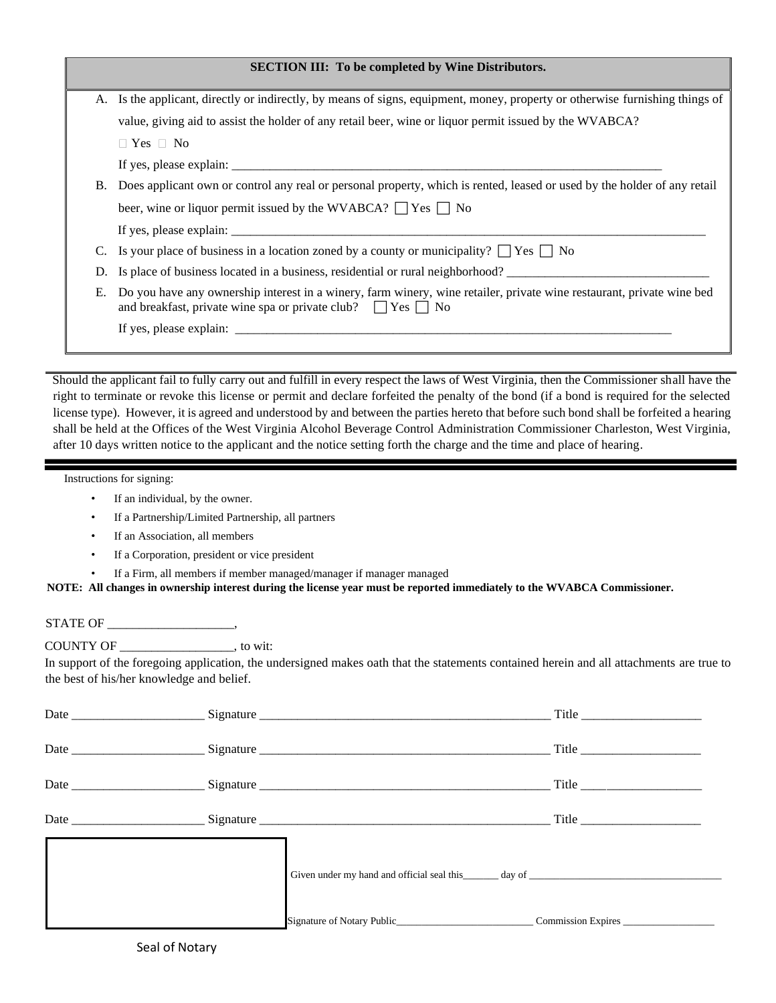|    | <b>SECTION III: To be completed by Wine Distributors.</b>                                                                                                                                      |
|----|------------------------------------------------------------------------------------------------------------------------------------------------------------------------------------------------|
|    | A. Is the applicant, directly or indirectly, by means of signs, equipment, money, property or otherwise furnishing things of                                                                   |
|    | value, giving aid to assist the holder of any retail beer, wine or liquor permit issued by the WVABCA?                                                                                         |
|    | $\Box$ Yes $\Box$ No                                                                                                                                                                           |
|    |                                                                                                                                                                                                |
| Β. | Does applicant own or control any real or personal property, which is rented, leased or used by the holder of any retail                                                                       |
|    | beer, wine or liquor permit issued by the WVABCA? $\Box$ Yes $\Box$ No                                                                                                                         |
|    | If yes, please explain:                                                                                                                                                                        |
|    | Is your place of business in a location zoned by a county or municipality? $ $ $ $ Yes $ $   No                                                                                                |
| D. | Is place of business located in a business, residential or rural neighborhood?                                                                                                                 |
| Е. | Do you have any ownership interest in a winery, farm winery, wine retailer, private wine restaurant, private wine bed<br>and breakfast, private wine spa or private club? $\Box$ Yes $\Box$ No |
|    |                                                                                                                                                                                                |
|    |                                                                                                                                                                                                |
|    |                                                                                                                                                                                                |

Should the applicant fail to fully carry out and fulfill in every respect the laws of West Virginia, then the Commissioner shall have the right to terminate or revoke this license or permit and declare forfeited the penalty of the bond (if a bond is required for the selected license type). However, it is agreed and understood by and between the parties hereto that before such bond shall be forfeited a hearing shall be held at the Offices of the West Virginia Alcohol Beverage Control Administration Commissioner Charleston, West Virginia, after 10 days written notice to the applicant and the notice setting forth the charge and the time and place of hearing.

Instructions for signing:

- If an individual, by the owner.
- If a Partnership/Limited Partnership, all partners
- If an Association, all members
- If a Corporation, president or vice president
- If a Firm, all members if member managed/manager if manager managed

**NOTE: All changes in ownership interest during the license year must be reported immediately to the WVABCA Commissioner.**

STATE OF \_\_\_\_\_\_\_\_\_\_\_\_\_\_\_\_\_\_\_\_,

COUNTY OF \_\_\_\_\_\_\_\_\_\_\_\_\_\_\_\_\_\_, to wit:

In support of the foregoing application, the undersigned makes oath that the statements contained herein and all attachments are true to the best of his/her knowledge and belief.

|  | Given under my hand and official seal this day of discussed and official seal this day of discussed and official seal this day of discussed and official seal this day of discussed and official seal this discussed and offic |  |
|--|--------------------------------------------------------------------------------------------------------------------------------------------------------------------------------------------------------------------------------|--|
|  | Signature of Notary Public_________________________________Commission Expires                                                                                                                                                  |  |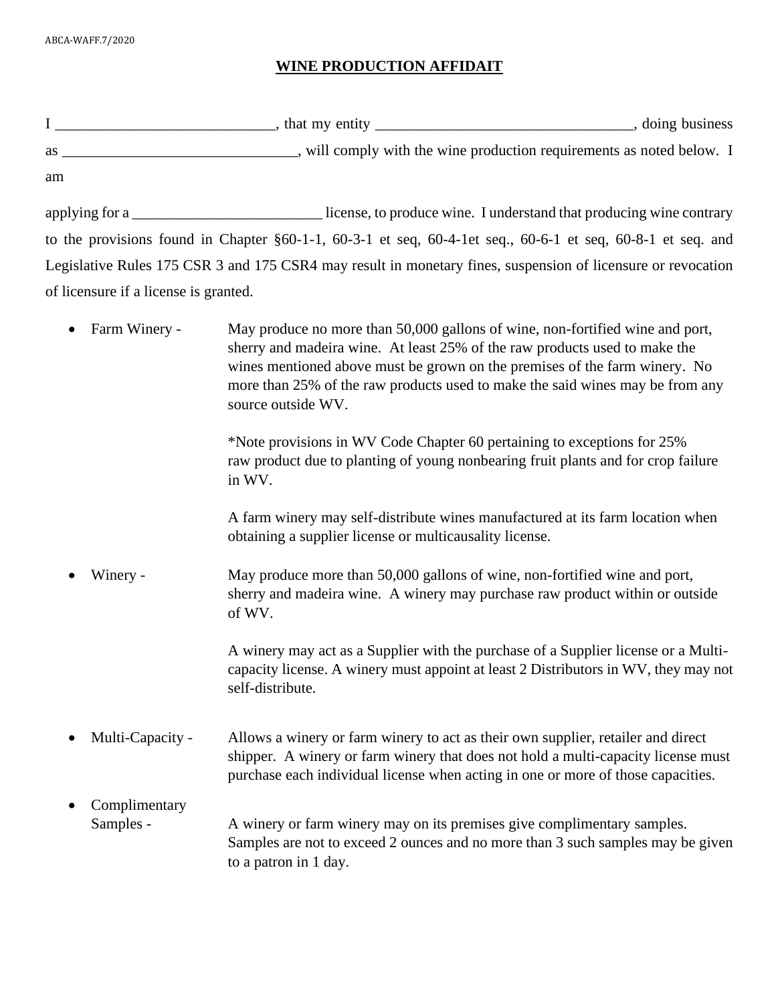# **WINE PRODUCTION AFFIDAIT**

|                                       | as _________________________________, will comply with the wine production requirements as noted below. I                                                                                                                                                                                                                                        |
|---------------------------------------|--------------------------------------------------------------------------------------------------------------------------------------------------------------------------------------------------------------------------------------------------------------------------------------------------------------------------------------------------|
| am                                    |                                                                                                                                                                                                                                                                                                                                                  |
|                                       | applying for a _______________________________license, to produce wine. I understand that producing wine contrary                                                                                                                                                                                                                                |
|                                       | to the provisions found in Chapter $\S 60-1-1$ , $60-3-1$ et seq, $60-4-1$ et seq., $60-6-1$ et seq, $60-8-1$ et seq. and                                                                                                                                                                                                                        |
|                                       | Legislative Rules 175 CSR 3 and 175 CSR4 may result in monetary fines, suspension of licensure or revocation                                                                                                                                                                                                                                     |
| of licensure if a license is granted. |                                                                                                                                                                                                                                                                                                                                                  |
| Farm Winery -<br>$\bullet$            | May produce no more than 50,000 gallons of wine, non-fortified wine and port,<br>sherry and madeira wine. At least 25% of the raw products used to make the<br>wines mentioned above must be grown on the premises of the farm winery. No<br>more than 25% of the raw products used to make the said wines may be from any<br>source outside WV. |
|                                       | *Note provisions in WV Code Chapter 60 pertaining to exceptions for 25%<br>raw product due to planting of young nonbearing fruit plants and for crop failure<br>in WV.                                                                                                                                                                           |
|                                       | A farm winery may self-distribute wines manufactured at its farm location when<br>obtaining a supplier license or multicausality license.                                                                                                                                                                                                        |
| Winery -                              | May produce more than 50,000 gallons of wine, non-fortified wine and port,<br>sherry and madeira wine. A winery may purchase raw product within or outside<br>of WV.                                                                                                                                                                             |
|                                       | A winery may act as a Supplier with the purchase of a Supplier license or a Multi-<br>capacity license. A winery must appoint at least 2 Distributors in WV, they may not<br>self-distribute.                                                                                                                                                    |
| Multi-Capacity -                      | Allows a winery or farm winery to act as their own supplier, retailer and direct<br>shipper. A winery or farm winery that does not hold a multi-capacity license must<br>purchase each individual license when acting in one or more of those capacities.                                                                                        |
| Complimentary<br>Samples -            | A winery or farm winery may on its premises give complimentary samples.<br>Samples are not to exceed 2 ounces and no more than 3 such samples may be given<br>to a patron in 1 day.                                                                                                                                                              |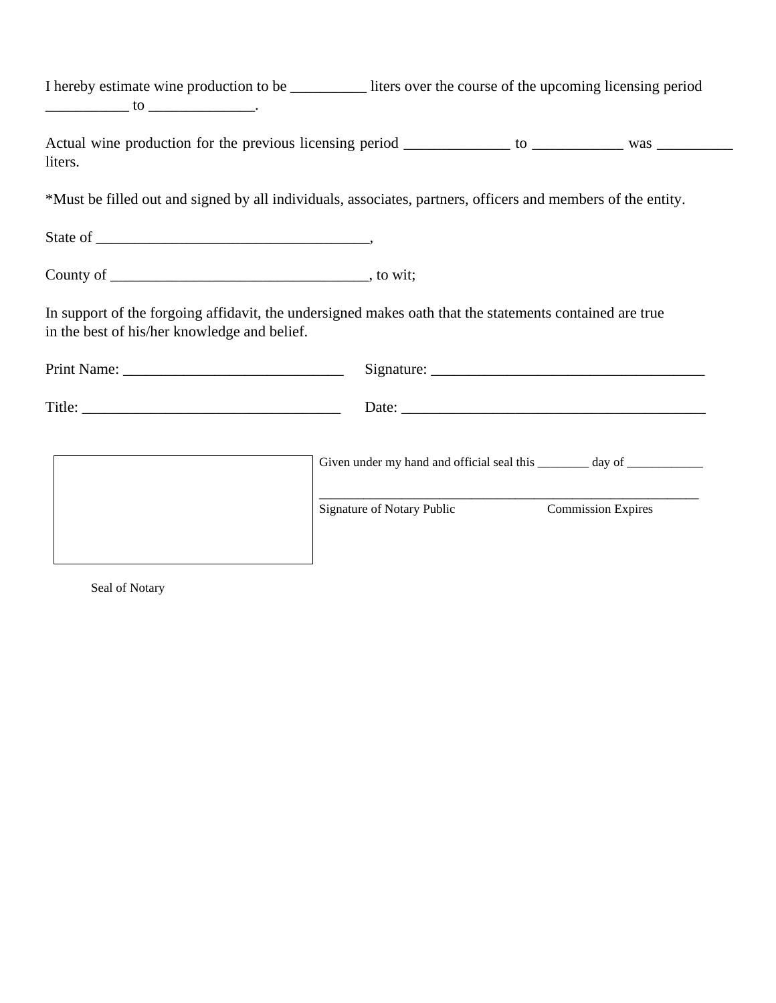|                                              | I hereby estimate wine production to be ____________ liters over the course of the upcoming licensing period   |
|----------------------------------------------|----------------------------------------------------------------------------------------------------------------|
| liters.                                      | Actual wine production for the previous licensing period _____________ to _____________ was __________________ |
|                                              | *Must be filled out and signed by all individuals, associates, partners, officers and members of the entity.   |
|                                              |                                                                                                                |
|                                              |                                                                                                                |
| in the best of his/her knowledge and belief. | In support of the forgoing affidavit, the undersigned makes oath that the statements contained are true        |
|                                              |                                                                                                                |
|                                              |                                                                                                                |
|                                              | Given under my hand and official seal this ________ day of ____________                                        |
|                                              | Signature of Notary Public<br><b>Commission Expires</b>                                                        |

Seal of Notary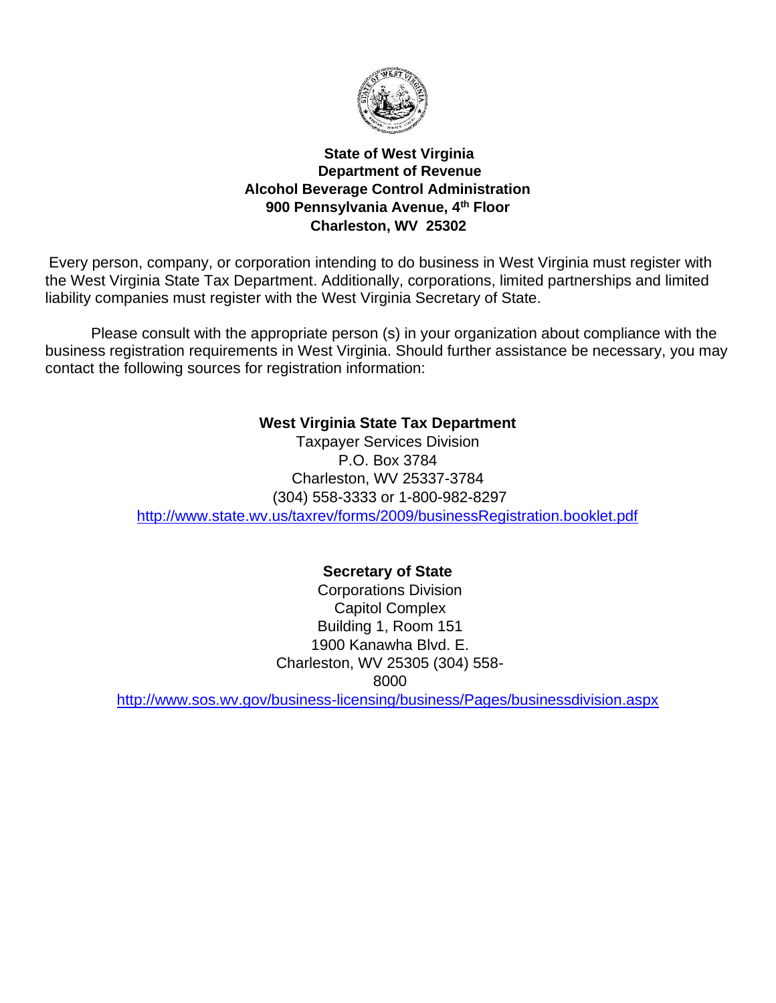

## **State of West Virginia Department of Revenue Alcohol Beverage Control Administration 900 Pennsylvania Avenue, 4th Floor Charleston, WV 25302**

Every person, company, or corporation intending to do business in West Virginia must register with the West Virginia State Tax Department. Additionally, corporations, limited partnerships and limited liability companies must register with the West Virginia Secretary of State.

Please consult with the appropriate person (s) in your organization about compliance with the business registration requirements in West Virginia. Should further assistance be necessary, you may contact the following sources for registration information:

# **West Virginia State Tax Department**

Taxpayer Services Division P.O. Box 3784 Charleston, WV 25337-3784 (304) 558-3333 or 1-800-982-8297 <http://www.state.wv.us/taxrev/forms/2009/businessRegistration.booklet.pdf>

# **Secretary of State**

Corporations Division Capitol Complex Building 1, Room 151 1900 Kanawha Blvd. E. Charleston, WV 25305 (304) 558- 8000

<http://www.sos.wv.gov/business-licensing/business/Pages/businessdivision.aspx>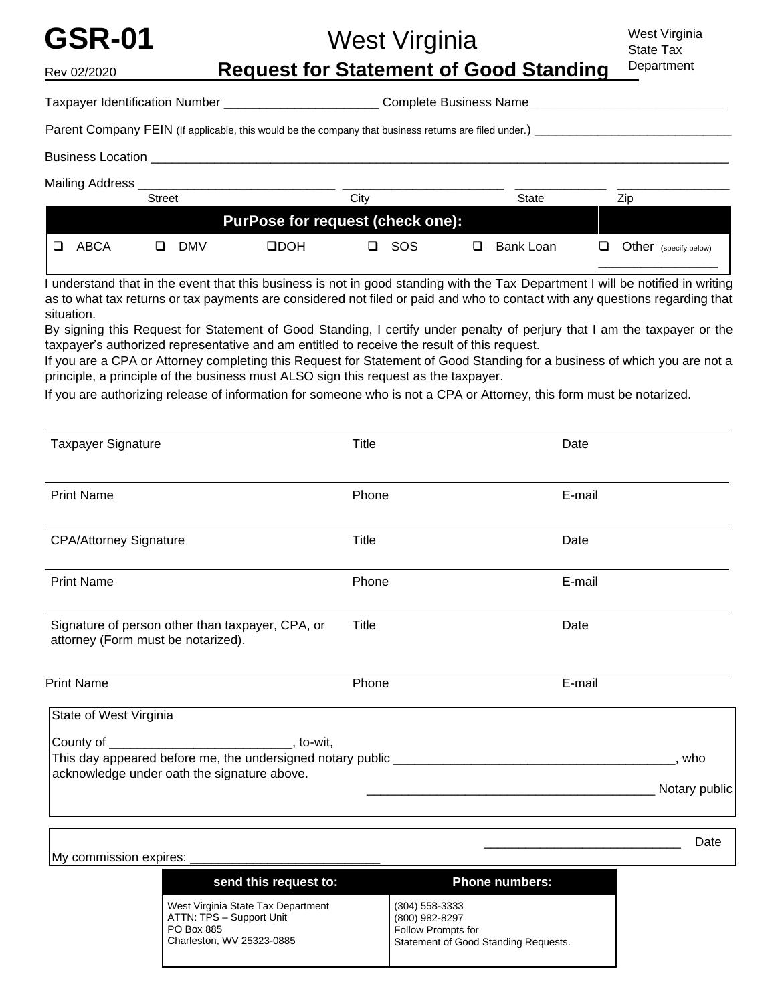# **GSR-01** West Virginia Rev 02/2020 **Request for Statement of Good Standing**  Taxpayer Identification Number \_\_\_\_\_\_\_\_\_\_\_\_\_\_\_\_\_\_\_\_\_\_\_\_\_\_\_\_\_\_\_Complete Business Name\_ Parent Company FEIN (If applicable, this would be the company that business returns are filed under.) Business Location Mailing Address \_\_\_\_\_\_\_\_\_\_\_\_\_\_\_\_\_\_\_\_\_\_\_\_\_\_\_\_ \_\_\_\_\_\_\_\_\_\_\_\_\_\_\_\_\_\_\_\_\_\_\_ \_\_\_\_\_\_\_\_\_\_\_\_\_ \_\_\_\_\_\_\_\_\_\_\_\_\_\_\_\_ West Virginia State Tax **Department**

|      | Street |                                  | City | State     | Zip                      |
|------|--------|----------------------------------|------|-----------|--------------------------|
|      |        | PurPose for request (check one): |      |           |                          |
| ABCA | DMV    | HOOL                             | sos  | Bank Loan | Other<br>(specify below) |

I understand that in the event that this business is not in good standing with the Tax Department I will be notified in writing as to what tax returns or tax payments are considered not filed or paid and who to contact with any questions regarding that situation.

By signing this Request for Statement of Good Standing, I certify under penalty of perjury that I am the taxpayer or the taxpayer's authorized representative and am entitled to receive the result of this request.

If you are a CPA or Attorney completing this Request for Statement of Good Standing for a business of which you are not a principle, a principle of the business must ALSO sign this request as the taxpayer.

If you are authorizing release of information for someone who is not a CPA or Attorney, this form must be notarized.

| <b>Taxpayer Signature</b>                                                              | Title | Date          |
|----------------------------------------------------------------------------------------|-------|---------------|
|                                                                                        |       |               |
| <b>Print Name</b>                                                                      | Phone | E-mail        |
| <b>CPA/Attorney Signature</b>                                                          | Title | Date          |
|                                                                                        |       |               |
| <b>Print Name</b>                                                                      | Phone | E-mail        |
| Signature of person other than taxpayer, CPA, or<br>attorney (Form must be notarized). | Title | Date          |
| <b>Print Name</b>                                                                      | Phone | E-mail        |
| State of West Virginia                                                                 |       |               |
|                                                                                        |       |               |
| acknowledge under oath the signature above.                                            |       | . who         |
|                                                                                        |       | Notary public |
|                                                                                        |       |               |

Date

**send this request to: Phone numbers:** West Virginia State Tax Department ATTN: TPS – Support Unit PO Box 885 Charleston, WV 25323-0885 (304) 558-3333 (800) 982-8297 Follow Prompts for Statement of Good Standing Requests.

My commission expires: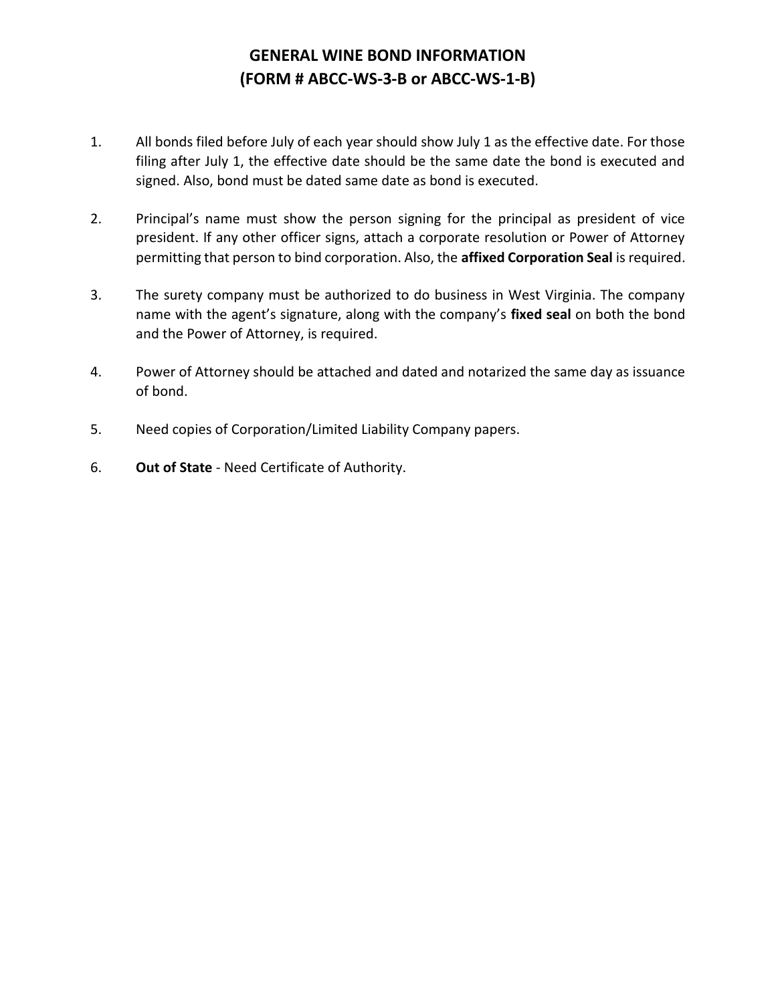# **GENERAL WINE BOND INFORMATION (FORM # ABCC‐WS‐3‐B or ABCC‐WS‐1‐B)**

- 1. All bonds filed before July of each year should show July 1 as the effective date. For those filing after July 1, the effective date should be the same date the bond is executed and signed. Also, bond must be dated same date as bond is executed.
- 2. Principal's name must show the person signing for the principal as president of vice president. If any other officer signs, attach a corporate resolution or Power of Attorney permitting that person to bind corporation. Also, the **affixed Corporation Seal** is required.
- 3. The surety company must be authorized to do business in West Virginia. The company name with the agent's signature, along with the company's **fixed seal** on both the bond and the Power of Attorney, is required.
- 4. Power of Attorney should be attached and dated and notarized the same day as issuance of bond.
- 5. Need copies of Corporation/Limited Liability Company papers.
- 6. **Out of State** ‐ Need Certificate of Authority.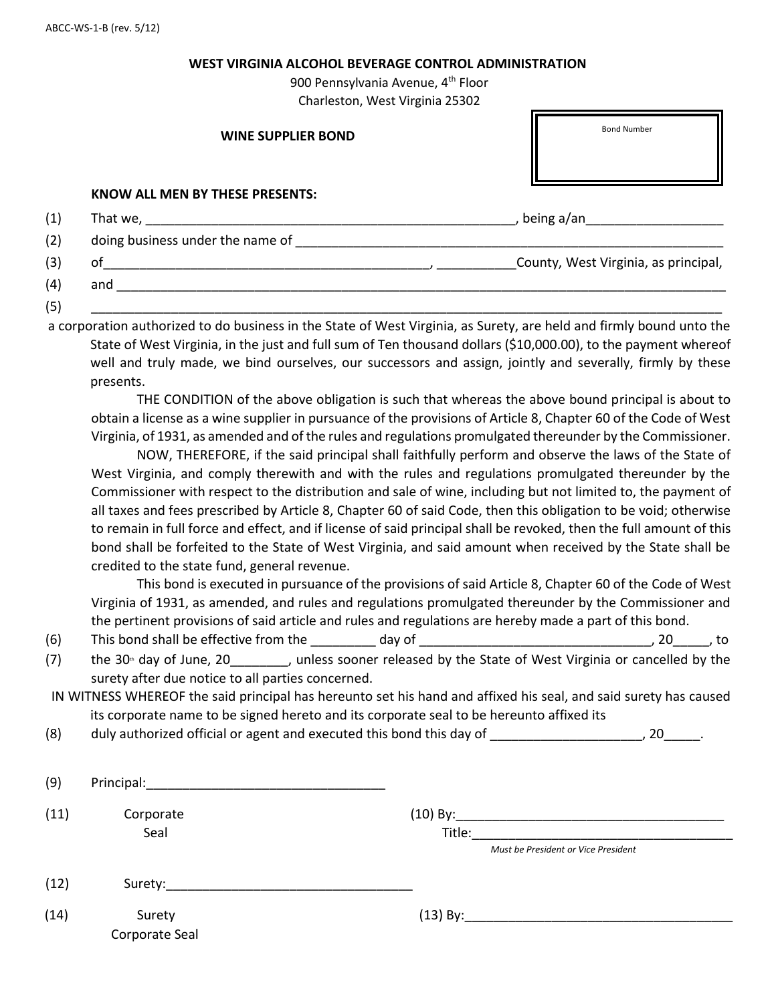#### **WEST VIRGINIA ALCOHOL BEVERAGE CONTROL ADMINISTRATION**

900 Pennsylvania Avenue, 4<sup>th</sup> Floor Charleston, West Virginia 25302

г.

|     | <b>WINE SUPPLIER BOND</b>        | <b>Bond Number</b>                   |
|-----|----------------------------------|--------------------------------------|
|     | KNOW ALL MEN BY THESE PRESENTS:  |                                      |
| (1) |                                  | being a/an                           |
| (2) | doing business under the name of |                                      |
| (3) | of                               | County, West Virginia, as principal, |

(5) \_\_\_\_\_\_\_\_\_\_\_\_\_\_\_\_\_\_\_\_\_\_\_\_\_\_\_\_\_\_\_\_\_\_\_\_\_\_\_\_\_\_\_\_\_\_\_\_\_\_\_\_\_\_\_\_\_\_\_\_\_\_\_\_\_\_\_\_\_\_\_\_\_\_\_\_\_\_\_\_\_\_\_\_\_\_\_

a corporation authorized to do business in the State of West Virginia, as Surety, are held and firmly bound unto the State of West Virginia, in the just and full sum of Ten thousand dollars (\$10,000.00), to the payment whereof well and truly made, we bind ourselves, our successors and assign, jointly and severally, firmly by these presents.

 $(4)$  and  $\overline{\phantom{a}}$ 

THE CONDITION of the above obligation is such that whereas the above bound principal is about to obtain a license as a wine supplier in pursuance of the provisions of Article 8, Chapter 60 of the Code of West Virginia, of 1931, as amended and of the rules and regulations promulgated thereunder by the Commissioner.

NOW, THEREFORE, if the said principal shall faithfully perform and observe the laws of the State of West Virginia, and comply therewith and with the rules and regulations promulgated thereunder by the Commissioner with respect to the distribution and sale of wine, including but not limited to, the payment of all taxes and fees prescribed by Article 8, Chapter 60 of said Code, then this obligation to be void; otherwise to remain in full force and effect, and if license of said principal shall be revoked, then the full amount of this bond shall be forfeited to the State of West Virginia, and said amount when received by the State shall be credited to the state fund, general revenue.

This bond is executed in pursuance of the provisions of said Article 8, Chapter 60 of the Code of West Virginia of 1931, as amended, and rules and regulations promulgated thereunder by the Commissioner and the pertinent provisions of said article and rules and regulations are hereby made a part of this bond.

- $(6)$  This bond shall be effective from the \_\_\_\_\_\_\_ day of \_\_\_\_\_\_\_\_\_\_\_\_\_\_\_\_\_\_\_\_\_\_\_\_\_\_\_\_\_\_\_\_, 20\_\_\_\_\_, to
- (7) the 30<sup>th</sup> day of June, 20  $\mu$ , unless sooner released by the State of West Virginia or cancelled by the surety after due notice to all parties concerned.
- IN WITNESS WHEREOF the said principal has hereunto set his hand and affixed his seal, and said surety has caused its corporate name to be signed hereto and its corporate seal to be hereunto affixed its
- (8) duly authorized official or agent and executed this bond this day of \_\_\_\_\_\_\_\_\_\_\_\_\_\_\_\_\_\_\_\_\_, 20\_\_\_\_\_.

| (9)  | Principal:               |                                                             |
|------|--------------------------|-------------------------------------------------------------|
| (11) | Corporate<br>Seal        | $(10)$ By:<br>Title:<br>Must be President or Vice President |
| (12) | Surety:                  |                                                             |
| (14) | Surety<br>Corporate Seal | $(13)$ By:                                                  |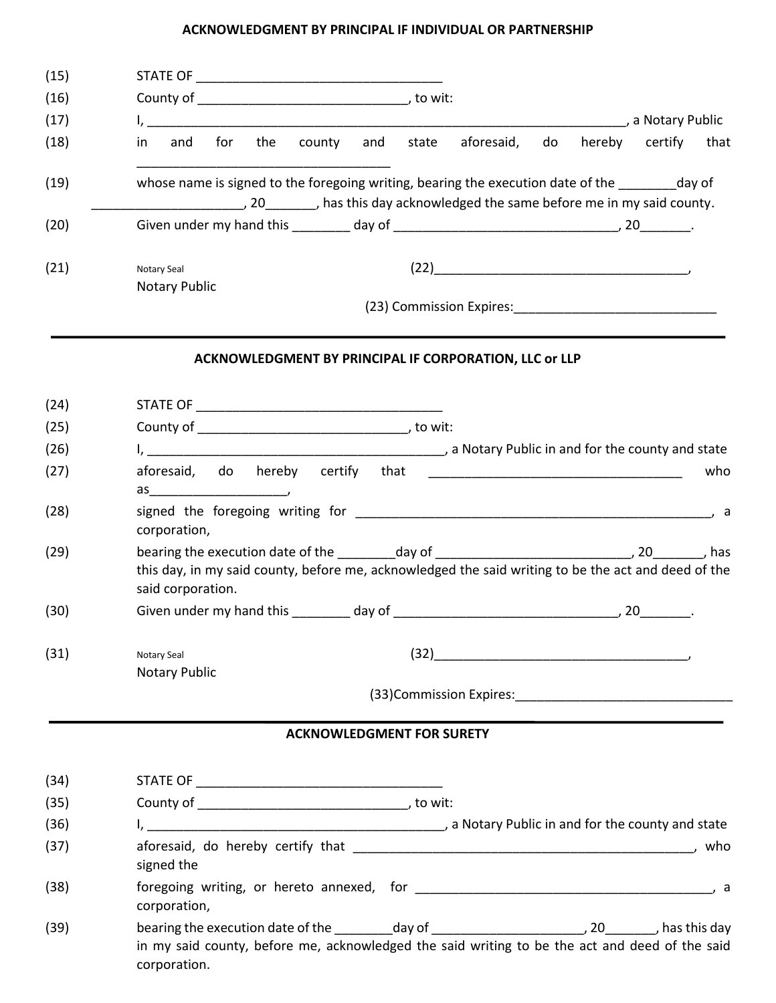### **ACKNOWLEDGMENT BY PRINCIPAL IF INDIVIDUAL OR PARTNERSHIP**

| (15) |                                                                                                                                                                                                                                                                                                                                                                                               |  |  |  |  |
|------|-----------------------------------------------------------------------------------------------------------------------------------------------------------------------------------------------------------------------------------------------------------------------------------------------------------------------------------------------------------------------------------------------|--|--|--|--|
| (16) |                                                                                                                                                                                                                                                                                                                                                                                               |  |  |  |  |
| (17) |                                                                                                                                                                                                                                                                                                                                                                                               |  |  |  |  |
| (18) | hereby certify that<br>aforesaid,<br>do<br>the<br>county and state<br>and<br>for<br>in.                                                                                                                                                                                                                                                                                                       |  |  |  |  |
| (19) | whose name is signed to the foregoing writing, bearing the execution date of the ________ day of                                                                                                                                                                                                                                                                                              |  |  |  |  |
| (20) |                                                                                                                                                                                                                                                                                                                                                                                               |  |  |  |  |
| (21) | $(22) \begin{tabular}{@{}c@{}} \hline \rule[1.2mm]{0.2mm}{0.2cm} \rule[1.2mm]{0.2mm}{0.2cm} \rule[1.2mm]{0.2mm}{0.2cm} \rule[1.2mm]{0.2mm}{0.2cm} \rule[1.2mm]{0.2mm}{0.2cm} \rule[1.2mm]{0.2mm}{0.2cm} \rule[1.2mm]{0.2mm}{0.2cm} \rule[1.2mm]{0.2mm}{0.2cm} \rule[1.2mm]{0.2mm}{0.2cm} \rule[1.2mm]{0.2mm}{0.2cm} \rule[1.2mm]{0.2mm}{0.2cm} \rule[$<br>Notary Seal<br><b>Notary Public</b> |  |  |  |  |
|      |                                                                                                                                                                                                                                                                                                                                                                                               |  |  |  |  |
|      | ACKNOWLEDGMENT BY PRINCIPAL IF CORPORATION, LLC or LLP                                                                                                                                                                                                                                                                                                                                        |  |  |  |  |
| (24) |                                                                                                                                                                                                                                                                                                                                                                                               |  |  |  |  |
| (25) |                                                                                                                                                                                                                                                                                                                                                                                               |  |  |  |  |
| (26) |                                                                                                                                                                                                                                                                                                                                                                                               |  |  |  |  |
| (27) | who                                                                                                                                                                                                                                                                                                                                                                                           |  |  |  |  |
| (28) | corporation,                                                                                                                                                                                                                                                                                                                                                                                  |  |  |  |  |
| (29) | bearing the execution date of the _________day of _______________________________, 20________, has<br>this day, in my said county, before me, acknowledged the said writing to be the act and deed of the<br>said corporation.                                                                                                                                                                |  |  |  |  |
| (30) |                                                                                                                                                                                                                                                                                                                                                                                               |  |  |  |  |
| (31) | $(32) \begin{picture}(20,10) \put(0,0){\line(1,0){10}} \put(15,0){\line(1,0){10}} \put(15,0){\line(1,0){10}} \put(15,0){\line(1,0){10}} \put(15,0){\line(1,0){10}} \put(15,0){\line(1,0){10}} \put(15,0){\line(1,0){10}} \put(15,0){\line(1,0){10}} \put(15,0){\line(1,0){10}} \put(15,0){\line(1,0){10}} \put(15,0){\line(1,0){10}} \put(15,0){$<br>Notary Seal<br><b>Notary Public</b>      |  |  |  |  |
|      |                                                                                                                                                                                                                                                                                                                                                                                               |  |  |  |  |
|      | <b>ACKNOWLEDGMENT FOR SURETY</b>                                                                                                                                                                                                                                                                                                                                                              |  |  |  |  |
| (34) |                                                                                                                                                                                                                                                                                                                                                                                               |  |  |  |  |
| (35) |                                                                                                                                                                                                                                                                                                                                                                                               |  |  |  |  |
| (36) |                                                                                                                                                                                                                                                                                                                                                                                               |  |  |  |  |
| (37) | signed the                                                                                                                                                                                                                                                                                                                                                                                    |  |  |  |  |
| (38) | corporation,                                                                                                                                                                                                                                                                                                                                                                                  |  |  |  |  |
| (39) | bearing the execution date of the _________day of _______________________________, 20_________, has this day<br>in my said county, before me, acknowledged the said writing to be the act and deed of the said<br>corporation.                                                                                                                                                                |  |  |  |  |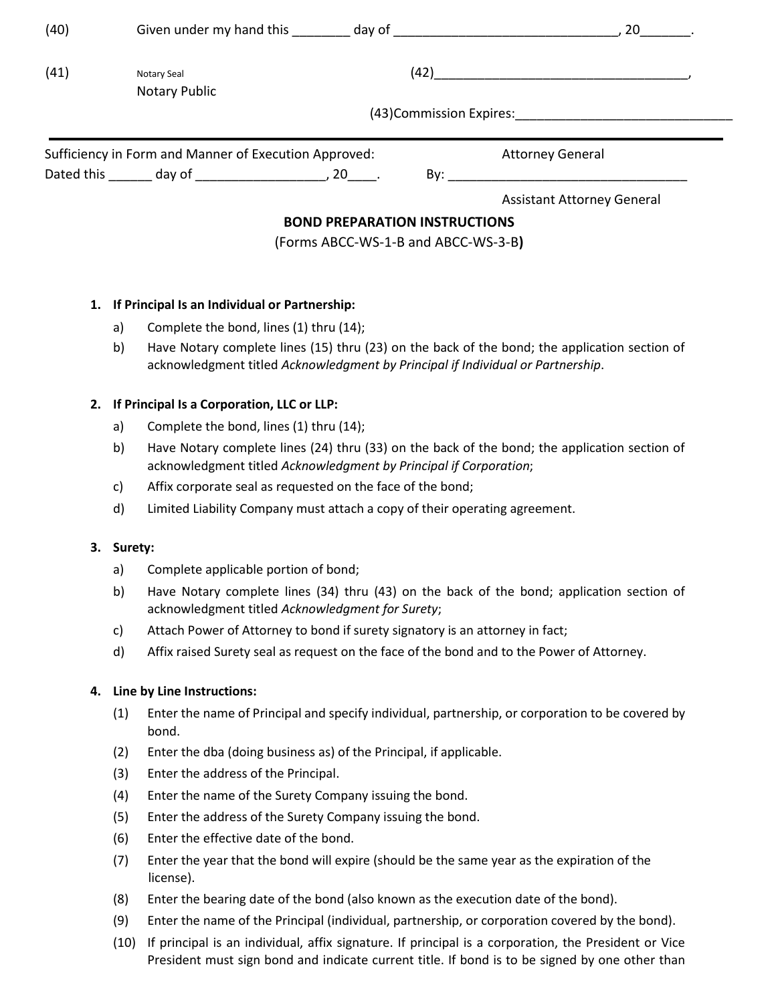| (40)                                                  |                                     |                                      |                                                                                                                                                                                                                                                                                                                                               |  |  |
|-------------------------------------------------------|-------------------------------------|--------------------------------------|-----------------------------------------------------------------------------------------------------------------------------------------------------------------------------------------------------------------------------------------------------------------------------------------------------------------------------------------------|--|--|
| (41)                                                  | Notary Seal<br><b>Notary Public</b> |                                      | $(42) \begin{picture}(20,20)(-0.00,0.00) \put(0,0){\line(1,0){10}} \put(15,0){\line(1,0){10}} \put(15,0){\line(1,0){10}} \put(15,0){\line(1,0){10}} \put(15,0){\line(1,0){10}} \put(15,0){\line(1,0){10}} \put(15,0){\line(1,0){10}} \put(15,0){\line(1,0){10}} \put(15,0){\line(1,0){10}} \put(15,0){\line(1,0){10}} \put(15,0){\line(1,0){$ |  |  |
|                                                       |                                     |                                      |                                                                                                                                                                                                                                                                                                                                               |  |  |
| Sufficiency in Form and Manner of Execution Approved: |                                     |                                      | <b>Attorney General</b>                                                                                                                                                                                                                                                                                                                       |  |  |
|                                                       |                                     |                                      | $\mathsf{By:}$                                                                                                                                                                                                                                                                                                                                |  |  |
|                                                       |                                     |                                      | <b>Assistant Attorney General</b>                                                                                                                                                                                                                                                                                                             |  |  |
|                                                       |                                     | <b>BOND PREPARATION INSTRUCTIONS</b> |                                                                                                                                                                                                                                                                                                                                               |  |  |
|                                                       |                                     | (Forms ABCC-WS-1-B and ABCC-WS-3-B)  |                                                                                                                                                                                                                                                                                                                                               |  |  |

## **1. If Principal Is an Individual or Partnership:**

- a) Complete the bond, lines (1) thru (14);
- b) Have Notary complete lines (15) thru (23) on the back of the bond; the application section of acknowledgment titled *Acknowledgment by Principal if Individual or Partnership*.

## **2. If Principal Is a Corporation, LLC or LLP:**

- a) Complete the bond, lines (1) thru (14);
- b) Have Notary complete lines (24) thru (33) on the back of the bond; the application section of acknowledgment titled *Acknowledgment by Principal if Corporation*;
- c) Affix corporate seal as requested on the face of the bond;
- d) Limited Liability Company must attach a copy of their operating agreement.

## **3. Surety:**

- a) Complete applicable portion of bond;
- b) Have Notary complete lines (34) thru (43) on the back of the bond; application section of acknowledgment titled *Acknowledgment for Surety*;
- c) Attach Power of Attorney to bond if surety signatory is an attorney in fact;
- d) Affix raised Surety seal as request on the face of the bond and to the Power of Attorney.

## **4. Line by Line Instructions:**

- (1) Enter the name of Principal and specify individual, partnership, or corporation to be covered by bond.
- (2) Enter the dba (doing business as) of the Principal, if applicable.
- (3) Enter the address of the Principal.
- (4) Enter the name of the Surety Company issuing the bond.
- (5) Enter the address of the Surety Company issuing the bond.
- (6) Enter the effective date of the bond.
- (7) Enter the year that the bond will expire (should be the same year as the expiration of the license).
- (8) Enter the bearing date of the bond (also known as the execution date of the bond).
- (9) Enter the name of the Principal (individual, partnership, or corporation covered by the bond).
- (10) If principal is an individual, affix signature. If principal is a corporation, the President or Vice President must sign bond and indicate current title. If bond is to be signed by one other than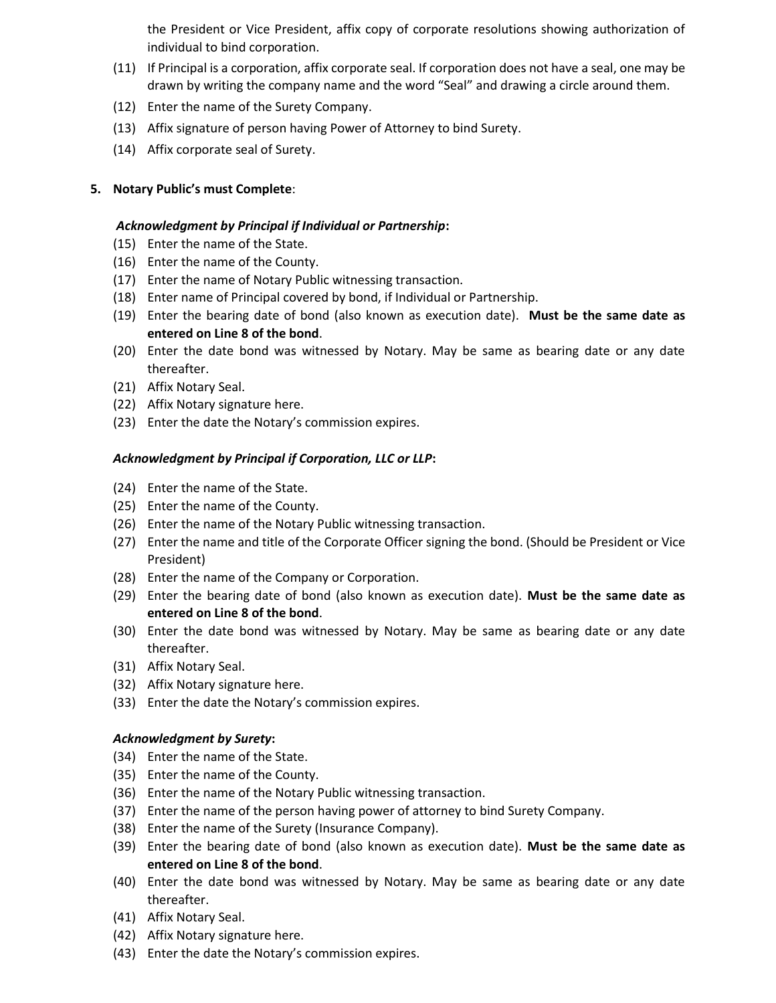the President or Vice President, affix copy of corporate resolutions showing authorization of individual to bind corporation.

- (11) If Principal is a corporation, affix corporate seal. If corporation does not have a seal, one may be drawn by writing the company name and the word "Seal" and drawing a circle around them.
- (12) Enter the name of the Surety Company.
- (13) Affix signature of person having Power of Attorney to bind Surety.
- (14) Affix corporate seal of Surety.

### **5. Notary Public's must Complete**:

#### *Acknowledgment by Principal if Individual or Partnership***:**

- (15) Enter the name of the State.
- (16) Enter the name of the County.
- (17) Enter the name of Notary Public witnessing transaction.
- (18) Enter name of Principal covered by bond, if Individual or Partnership.
- (19) Enter the bearing date of bond (also known as execution date). **Must be the same date as entered on Line 8 of the bond**.
- (20) Enter the date bond was witnessed by Notary. May be same as bearing date or any date thereafter.
- (21) Affix Notary Seal.
- (22) Affix Notary signature here.
- (23) Enter the date the Notary's commission expires.

### *Acknowledgment by Principal if Corporation, LLC or LLP***:**

- (24) Enter the name of the State.
- (25) Enter the name of the County.
- (26) Enter the name of the Notary Public witnessing transaction.
- (27) Enter the name and title of the Corporate Officer signing the bond. (Should be President or Vice President)
- (28) Enter the name of the Company or Corporation.
- (29) Enter the bearing date of bond (also known as execution date). **Must be the same date as entered on Line 8 of the bond**.
- (30) Enter the date bond was witnessed by Notary. May be same as bearing date or any date thereafter.
- (31) Affix Notary Seal.
- (32) Affix Notary signature here.
- (33) Enter the date the Notary's commission expires.

### *Acknowledgment by Surety***:**

- (34) Enter the name of the State.
- (35) Enter the name of the County.
- (36) Enter the name of the Notary Public witnessing transaction.
- (37) Enter the name of the person having power of attorney to bind Surety Company.
- (38) Enter the name of the Surety (Insurance Company).
- (39) Enter the bearing date of bond (also known as execution date). **Must be the same date as entered on Line 8 of the bond**.
- (40) Enter the date bond was witnessed by Notary. May be same as bearing date or any date thereafter.
- (41) Affix Notary Seal.
- (42) Affix Notary signature here.
- (43) Enter the date the Notary's commission expires.